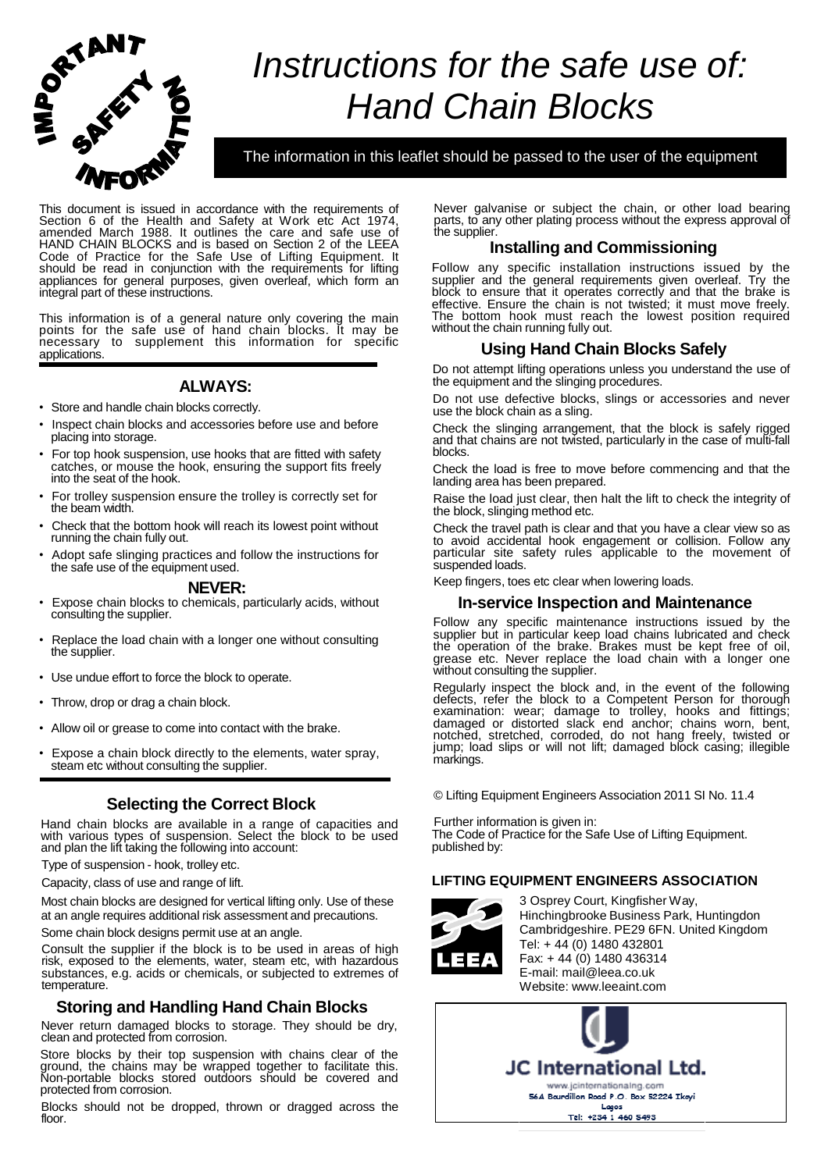

# *Instructions for the safe use of: Hand Chain Blocks*

The information in this leaflet should be passed to the user of the equipment

This document is issued in accordance with the requirements of Section 6 of the Health and Safety at Work etc Act 1974, amended March 1988. It outlines the care and safe use of HAND CHAIN BLOCKS and is based on Section 2 of the LEEA Code of Practice for the Safe Use of Lifting Equipment. It should be read in conjunction with the requirements for lifting appliances for general purposes, given overleaf, which form an integral part of these instructions.

This information is of a general nature only covering the main points for the safe use of hand chain blocks. It may be necessary to supplement this information for specific applications.

# **ALWAYS:**

- Store and handle chain blocks correctly.
- Inspect chain blocks and accessories before use and before placing into storage.
- For top hook suspension, use hooks that are fitted with safety catches, or mouse the hook, ensuring the support fits freely into the seat of the hook.
- For trolley suspension ensure the trolley is correctly set for the beam width.
- Check that the bottom hook will reach its lowest point without running the chain fully out.
- Adopt safe slinging practices and follow the instructions for the safe use of the equipment used.

#### **NEVER:**

- Expose chain blocks to chemicals, particularly acids, without consulting the supplier.
- Replace the load chain with a longer one without consulting the supplier.
- Use undue effort to force the block to operate.
- Throw, drop or drag a chain block.
- Allow oil or grease to come into contact with the brake.
- Expose a chain block directly to the elements, water spray, steam etc without consulting the supplier.

# **Selecting the Correct Block**

Hand chain blocks are available in a range of capacities and with various types of suspension. Select the block to be used and plan the lift taking the following into account:

Type of suspension - hook, trolley etc.

Capacity, class of use and range of lift.

Most chain blocks are designed for vertical lifting only. Use of these at an angle requires additional risk assessment and precautions.

Some chain block designs permit use at an angle.

Consult the supplier if the block is to be used in areas of high risk, exposed to the elements, water, steam etc, with hazardous substances, e.g. acids or chemicals, or subjected to extremes of temperature.

# **Storing and Handling Hand Chain Blocks**

Never return damaged blocks to storage. They should be dry, clean and protected from corrosion.

Store blocks by their top suspension with chains clear of the ground, the chains may be wrapped together to facilitate this. Non-portable blocks stored outdoors should be covered and protected from corrosion.

Blocks should not be dropped, thrown or dragged across the floor.

Never galvanise or subject the chain, or other load bearing parts, to any other plating process without the express approval of the supplier.

## **Installing and Commissioning**

Follow any specific installation instructions issued by the supplier and the general requirements given overleaf. Try the block to ensure that it operates correctly and that the brake is effective. Ensure the chain is not twisted; it must move freely. The bottom hook must reach the lowest position required without the chain running fully out.

# **Using Hand Chain Blocks Safely**

Do not attempt lifting operations unless you understand the use of the equipment and the slinging procedures.

Do not use defective blocks, slings or accessories and never use the block chain as a sling.

Check the slinging arrangement, that the block is safely rigged and that chains are not twisted, particularly in the case of multi-fall blocks.

Check the load is free to move before commencing and that the landing area has been prepared.

Raise the load just clear, then halt the lift to check the integrity of the block, slinging method etc.

Check the travel path is clear and that you have a clear view so as to avoid accidental hook engagement or collision. Follow any particular site safety rules applicable to the movement of suspended loads.

Keep fingers, toes etc clear when lowering loads.

### **In-service Inspection and Maintenance**

Follow any specific maintenance instructions issued by the supplier but in particular keep load chains lubricated and check the operation of the brake. Brakes must be kept free of oil, grease etc. Never replace the load chain with a longer one without consulting the supplier.

Regularly inspect the block and, in the event of the following defects, refer the block to a Competent Person for thorough examination: wear; damage to trolley, hooks and fittings; damaged or distorted slack end anchor; chains worn, bent, notched, stretched, corroded, do not hang freely, twisted or jump; load slips or will not lift; damaged block casing; illegible markings.

© Lifting Equipment Engineers Association 2011 SI No. 11.4

Further information is given in: The Code of Practice for the Safe Use of Lifting Equipment. published by:

## **LIFTING EQUIPMENT ENGINEERS ASSOCIATION**



3 Osprey Court, Kingfisher Way, Hinchingbrooke Business Park, Huntingdon Cambridgeshire. PE29 6FN. United Kingdom Tel: + 44 (0) 1480 432801 Fax:  $+ 44(0)$  1480 436314 E-mail: [mail@leea.co.uk](mailto:mail@leea.co.uk) Website: [www.leeaint.com](http://www.leeaint.com/)